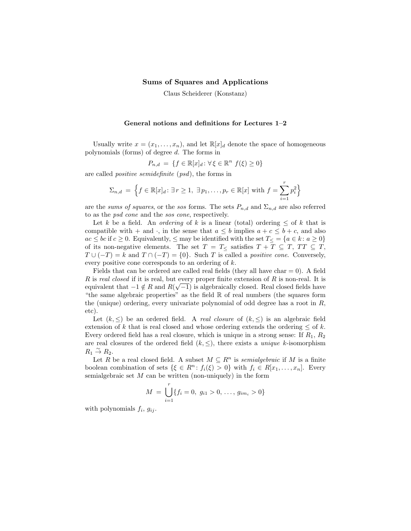## Sums of Squares and Applications

Claus Scheiderer (Konstanz)

## General notions and definitions for Lectures 1–2

Usually write  $x = (x_1, \ldots, x_n)$ , and let  $\mathbb{R}[x]_d$  denote the space of homogeneous polynomials (forms) of degree d. The forms in

$$
P_{n,d} = \{ f \in \mathbb{R}[x]_d : \forall \xi \in \mathbb{R}^n \ f(\xi) \ge 0 \}
$$

are called positive semidefinite (psd), the forms in

$$
\Sigma_{n,d} = \left\{ f \in \mathbb{R}[x]_d \colon \exists r \ge 1, \ \exists p_1, \dots, p_r \in \mathbb{R}[x] \text{ with } f = \sum_{i=1}^r p_i^2 \right\}
$$

are the sums of squares, or the sos forms. The sets  $P_{n,d}$  and  $\Sigma_{n,d}$  are also referred to as the psd cone and the sos cone, respectively.

Let k be a field. An *ordering* of k is a linear (total) ordering  $\leq$  of k that is compatible with + and  $\cdot$ , in the sense that  $a \leq b$  implies  $a + c \leq b + c$ , and also  $ac \le bc$  if  $c \ge 0$ . Equivalently,  $\le$  may be identified with the set  $T_{\leq} = \{a \in k : a \ge 0\}$ of its non-negative elements. The set  $T = T_{\leq}$  satisfies  $T + T \subseteq T$ ,  $TT \subseteq T$ ,  $T \cup (-T) = k$  and  $T \cap (-T) = \{0\}$ . Such T is called a *positive cone*. Conversely, every positive cone corresponds to an ordering of k.

Fields that can be ordered are called real fields (they all have char  $= 0$ ). A field R is real closed if it is real, but every proper finite extension of R is non-real. It is equivalent that  $-1 \notin R$  and  $R(\sqrt{-1})$  is algebraically closed. Real closed fields have "the same algebraic properties" as the field R of real numbers (the squares form the (unique) ordering, every univariate polynomial of odd degree has a root in  $R$ , etc).

Let  $(k, \leq)$  be an ordered field. A *real closure* of  $(k, \leq)$  is an algebraic field extension of k that is real closed and whose ordering extends the ordering  $\leq$  of k. Every ordered field has a real closure, which is unique in a strong sense: If  $R_1, R_2$ are real closures of the ordered field  $(k, \leq)$ , there exists a *unique* k-isomorphism  $R_1 \overset{\sim}{\rightarrow} R_2.$ 

Let R be a real closed field. A subset  $M \subseteq R^n$  is *semialgebraic* if M is a finite boolean combination of sets  $\{\xi \in R^n : f_i(\xi) > 0\}$  with  $f_i \in R[x_1, \ldots, x_n]$ . Every semialgebraic set  $M$  can be written (non-uniquely) in the form

$$
M = \bigcup_{i=1}^{r} \{f_i = 0, g_{i1} > 0, \dots, g_{im_i} > 0\}
$$

with polynomials  $f_i$ ,  $g_{ij}$ .